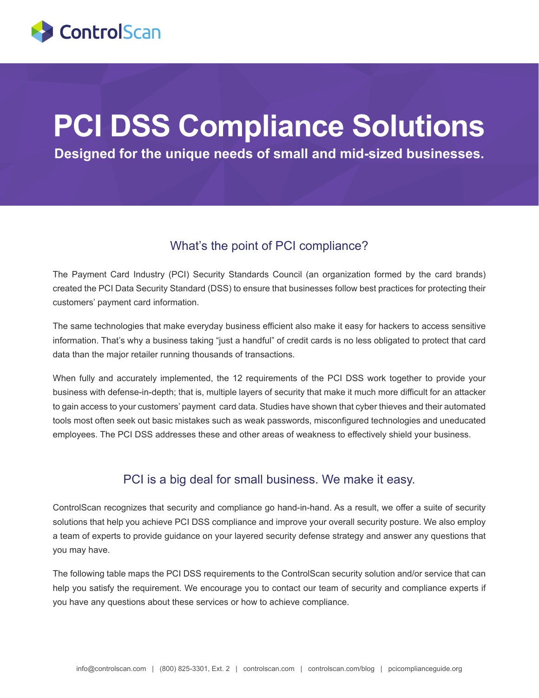

# **PCI DSS Compliance Solutions**

**Designed for the unique needs of small and mid-sized businesses.**

#### What's the point of PCI compliance?

The Payment Card Industry (PCI) Security Standards Council (an organization formed by the card brands) created the PCI Data Security Standard (DSS) to ensure that businesses follow best practices for protecting their customers' payment card information.

The same technologies that make everyday business efficient also make it easy for hackers to access sensitive information. That's why a business taking "just a handful" of credit cards is no less obligated to protect that card data than the major retailer running thousands of transactions.

When fully and accurately implemented, the 12 requirements of the PCI DSS work together to provide your business with defense-in-depth; that is, multiple layers of security that make it much more difficult for an attacker to gain access to your customers' payment card data. Studies have shown that cyber thieves and their automated tools most often seek out basic mistakes such as weak passwords, misconfigured technologies and uneducated employees. The PCI DSS addresses these and other areas of weakness to effectively shield your business.

#### PCI is a big deal for small business. We make it easy.

ControlScan recognizes that security and compliance go hand-in-hand. As a result, we offer a suite of security solutions that help you achieve PCI DSS compliance and improve your overall security posture. We also employ a team of experts to provide guidance on your layered security defense strategy and answer any questions that you may have.

The following table maps the PCI DSS requirements to the ControlScan security solution and/or service that can help you satisfy the requirement. We encourage you to contact our team of security and compliance experts if you have any questions about these services or how to achieve compliance.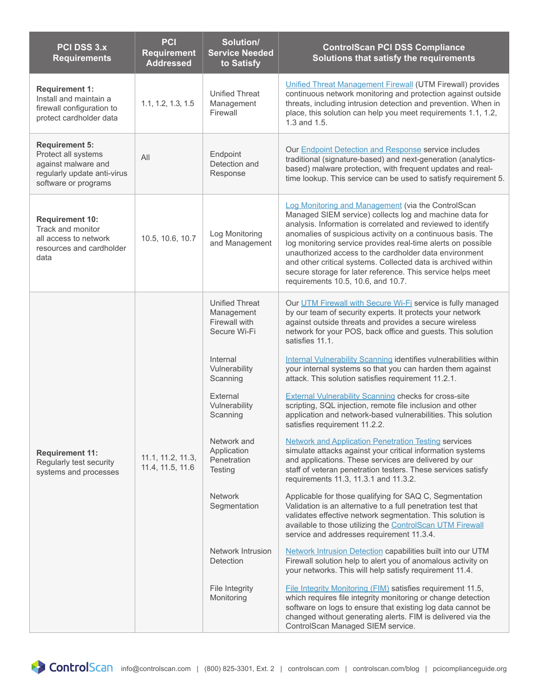| <b>PCI DSS 3.x</b><br><b>Requirements</b>                                                                                  | PCI<br><b>Requirement</b><br><b>Addressed</b> | Solution/<br><b>Service Needed</b><br>to Satisfy                     | <b>ControlScan PCI DSS Compliance</b><br>Solutions that satisfy the requirements                                                                                                                                                                                                                                                                                                                                                                                                                                                             |
|----------------------------------------------------------------------------------------------------------------------------|-----------------------------------------------|----------------------------------------------------------------------|----------------------------------------------------------------------------------------------------------------------------------------------------------------------------------------------------------------------------------------------------------------------------------------------------------------------------------------------------------------------------------------------------------------------------------------------------------------------------------------------------------------------------------------------|
| <b>Requirement 1:</b><br>Install and maintain a<br>firewall configuration to<br>protect cardholder data                    | 1.1, 1.2, 1.3, 1.5                            | <b>Unified Threat</b><br>Management<br>Firewall                      | Unified Threat Management Firewall (UTM Firewall) provides<br>continuous network monitoring and protection against outside<br>threats, including intrusion detection and prevention. When in<br>place, this solution can help you meet requirements 1.1, 1.2,<br>1.3 and 1.5.                                                                                                                                                                                                                                                                |
| <b>Requirement 5:</b><br>Protect all systems<br>against malware and<br>regularly update anti-virus<br>software or programs | All                                           | Endpoint<br>Detection and<br>Response                                | Our <b>Endpoint Detection and Response</b> service includes<br>traditional (signature-based) and next-generation (analytics-<br>based) malware protection, with frequent updates and real-<br>time lookup. This service can be used to satisfy requirement 5.                                                                                                                                                                                                                                                                                |
| <b>Requirement 10:</b><br>Track and monitor<br>all access to network<br>resources and cardholder<br>data                   | 10.5, 10.6, 10.7                              | Log Monitoring<br>and Management                                     | Log Monitoring and Management (via the ControlScan<br>Managed SIEM service) collects log and machine data for<br>analysis. Information is correlated and reviewed to identify<br>anomalies of suspicious activity on a continuous basis. The<br>log monitoring service provides real-time alerts on possible<br>unauthorized access to the cardholder data environment<br>and other critical systems. Collected data is archived within<br>secure storage for later reference. This service helps meet<br>requirements 10.5, 10.6, and 10.7. |
| <b>Requirement 11:</b><br>Regularly test security<br>systems and processes                                                 | 11.1, 11.2, 11.3,<br>11.4, 11.5, 11.6         | <b>Unified Threat</b><br>Management<br>Firewall with<br>Secure Wi-Fi | Our UTM Firewall with Secure Wi-Fi service is fully managed<br>by our team of security experts. It protects your network<br>against outside threats and provides a secure wireless<br>network for your POS, back office and guests. This solution<br>satisfies 11.1.                                                                                                                                                                                                                                                                         |
|                                                                                                                            |                                               | Internal<br>Vulnerability<br>Scanning                                | Internal Vulnerability Scanning identifies vulnerabilities within<br>your internal systems so that you can harden them against<br>attack. This solution satisfies requirement 11.2.1.                                                                                                                                                                                                                                                                                                                                                        |
|                                                                                                                            |                                               | External<br>Vulnerability<br>Scanning                                | <b>External Vulnerability Scanning checks for cross-site</b><br>scripting, SQL injection, remote file inclusion and other<br>application and network-based vulnerabilities. This solution<br>satisfies requirement 11.2.2.                                                                                                                                                                                                                                                                                                                   |
|                                                                                                                            |                                               | Network and<br>Application<br>Penetration<br>Testing                 | <b>Network and Application Penetration Testing services</b><br>simulate attacks against your critical information systems<br>and applications. These services are delivered by our<br>staff of veteran penetration testers. These services satisfy<br>requirements 11.3, 11.3.1 and 11.3.2.                                                                                                                                                                                                                                                  |
|                                                                                                                            |                                               | <b>Network</b><br>Segmentation                                       | Applicable for those qualifying for SAQ C, Segmentation<br>Validation is an alternative to a full penetration test that<br>validates effective network segmentation. This solution is<br>available to those utilizing the ControlScan UTM Firewall<br>service and addresses requirement 11.3.4.                                                                                                                                                                                                                                              |
|                                                                                                                            |                                               | Network Intrusion<br>Detection                                       | Network Intrusion Detection capabilities built into our UTM<br>Firewall solution help to alert you of anomalous activity on<br>your networks. This will help satisfy requirement 11.4.                                                                                                                                                                                                                                                                                                                                                       |
|                                                                                                                            |                                               | File Integrity<br>Monitoring                                         | File Integrity Monitoring (FIM) satisfies requirement 11.5,<br>which requires file integrity monitoring or change detection<br>software on logs to ensure that existing log data cannot be<br>changed without generating alerts. FIM is delivered via the<br>ControlScan Managed SIEM service.                                                                                                                                                                                                                                               |